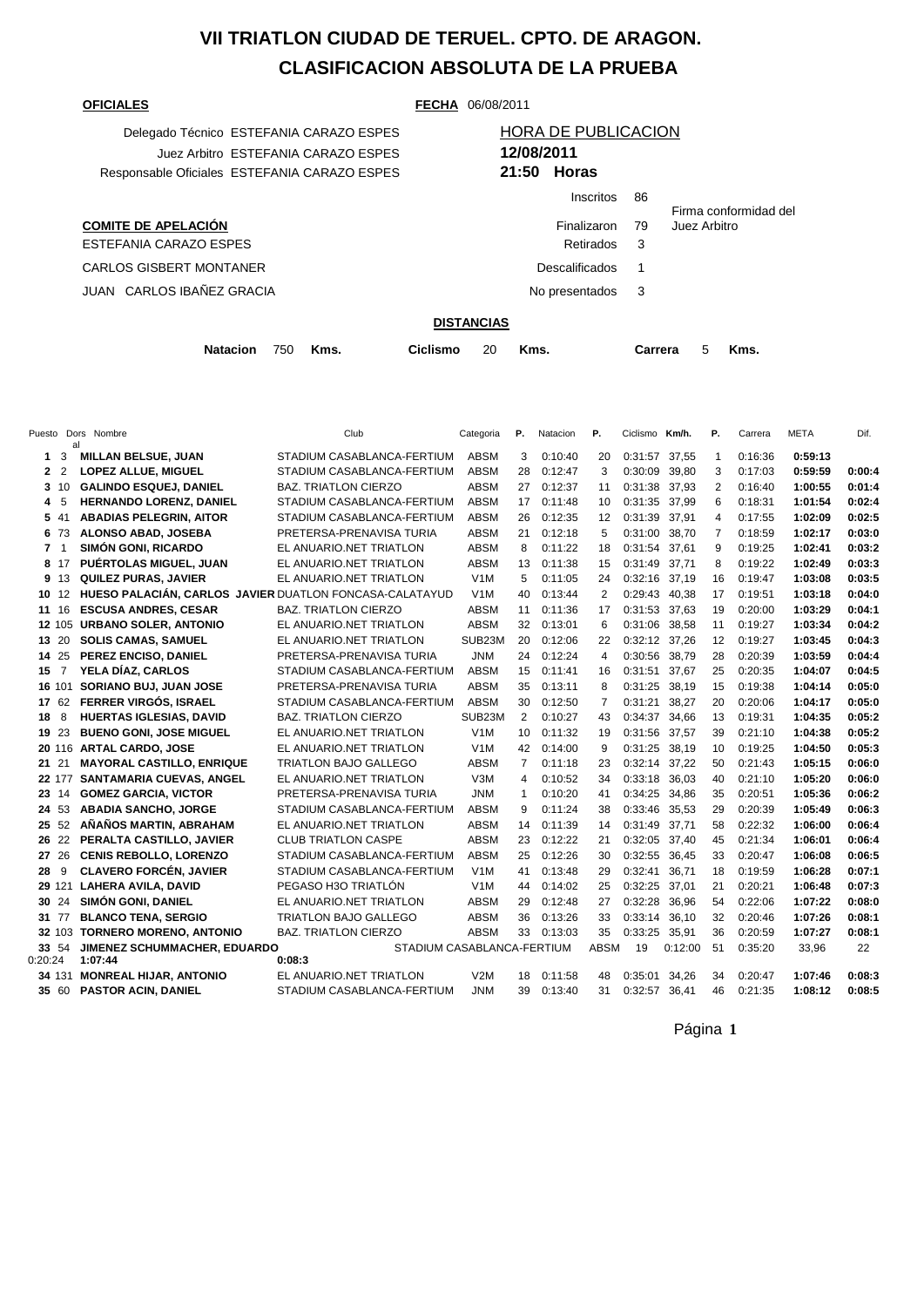# **VII TRIATLON CIUDAD DE TERUEL. CPTO. DE ARAGON. CLASIFICACION ABSOLUTA DE LA PRUEBA**

**OFICIALES FECHA** 06/08/2011

| Delegado Técnico ESTEFANIA CARAZO ESPES      |            | <b>HORA DE PUBLICACION</b> |
|----------------------------------------------|------------|----------------------------|
| Juez Arbitro ESTEFANIA CARAZO ESPES          | 12/08/2011 |                            |
| Responsable Oficiales ESTEFANIA CARAZO ESPES |            | $21:50$ Horas              |

## Juez Arbitro ESTEFANIA CARAZO ESPES **12/08/2011** Responsable Oficiales ESTEFANIA CARAZO ESPES **21:50 Horas** Inscritos 86

|                            | 1115011WS        | ്ധ | Firma conformidad del |
|----------------------------|------------------|----|-----------------------|
| <b>COMITE DE APELACIÓN</b> | Finalizaron      | 79 | Juez Arbitro          |
| ESTEFANIA CARAZO ESPES     | Retirados 3      |    |                       |
| CARLOS GISBERT MONTANER    | Descalificados 1 |    |                       |
| JUAN CARLOS IBAÑEZ GRACIA  | No presentados 3 |    |                       |
|                            |                  |    |                       |

#### **DISTANCIAS**

|  | Natacion 750 Kms. |  |  | Ciclismo 20 Kms. |  |  | Carrera 5 Kms. |  |  |
|--|-------------------|--|--|------------------|--|--|----------------|--|--|
|--|-------------------|--|--|------------------|--|--|----------------|--|--|

|                |                | Puesto Dors Nombre<br>al                                | Club                         | Categoria        | Р.             | Natacion | Р.          | Ciclismo Km/h. |         | Р.             | Carrera | <b>META</b> | Dif.   |
|----------------|----------------|---------------------------------------------------------|------------------------------|------------------|----------------|----------|-------------|----------------|---------|----------------|---------|-------------|--------|
| 1              | 3              | <b>MILLAN BELSUE, JUAN</b>                              | STADIUM CASABLANCA-FERTIUM   | ABSM             | 3              | 0:10:40  | 20          | 0:31:57 37,55  |         | $\mathbf{1}$   | 0:16:36 | 0:59:13     |        |
| 2              | $\overline{2}$ | <b>LOPEZ ALLUE, MIGUEL</b>                              | STADIUM CASABLANCA-FERTIUM   | <b>ABSM</b>      | 28             | 0:12:47  | 3           | 0:30:09 39.80  |         | 3              | 0:17:03 | 0:59:59     | 0:00:4 |
| $3 \t10$       |                | <b>GALINDO ESQUEJ, DANIEL</b>                           | <b>BAZ. TRIATLON CIERZO</b>  | <b>ABSM</b>      | 27             | 0:12:37  | 11          | 0:31:38 37,93  |         | 2              | 0:16:40 | 1:00:55     | 0:01:4 |
| 4              | 5              | <b>HERNANDO LORENZ, DANIEL</b>                          | STADIUM CASABLANCA-FERTIUM   | <b>ABSM</b>      | 17             | 0:11:48  | 10          | 0:31:35 37.99  |         | 6              | 0:18:31 | 1:01:54     | 0:02:4 |
| 5 41           |                | <b>ABADIAS PELEGRIN, AITOR</b>                          | STADIUM CASABLANCA-FERTIUM   | <b>ABSM</b>      | 26             | 0:12:35  | 12          | 0:31:39 37,91  |         | 4              | 0:17:55 | 1:02:09     | 0:02:5 |
| 6 73           |                | <b>ALONSO ABAD, JOSEBA</b>                              | PRETERSA-PRENAVISA TURIA     | <b>ABSM</b>      | 21             | 0:12:18  | 5           | 0:31:00 38.70  |         | $\overline{7}$ | 0:18:59 | 1:02:17     | 0:03:0 |
| 7 <sub>1</sub> |                | <b>SIMÓN GONI, RICARDO</b>                              | EL ANUARIO.NET TRIATLON      | <b>ABSM</b>      | 8              | 0:11:22  | 18          | 0:31:54 37,61  |         | 9              | 0:19:25 | 1:02:41     | 0:03:2 |
| 8 17           |                | PUÉRTOLAS MIGUEL, JUAN                                  | EL ANUARIO.NET TRIATLON      | <b>ABSM</b>      | 13             | 0:11:38  | 15          | 0:31:49 37,71  |         | 8              | 0:19:22 | 1:02:49     | 0:03:3 |
| 9 13           |                | <b>QUILEZ PURAS, JAVIER</b>                             | EL ANUARIO.NET TRIATLON      | V1M              | 5              | 0:11:05  | 24          | 0:32:16 37,19  |         | 16             | 0:19:47 | 1:03:08     | 0:03:5 |
| 10             | 12             | HUESO PALACIÁN, CARLOS JAVIER DUATLON FONCASA-CALATAYUD |                              | V1M              | 40             | 0:13:44  | 2           | 0:29:43 40,38  |         | 17             | 0:19:51 | 1:03:18     | 0:04:0 |
| 11             | 16             | <b>ESCUSA ANDRES, CESAR</b>                             | <b>BAZ. TRIATLON CIERZO</b>  | <b>ABSM</b>      | 11             | 0:11:36  | 17          | 0:31:53 37,63  |         | 19             | 0:20:00 | 1:03:29     | 0:04:1 |
| 12 105         |                | <b>URBANO SOLER, ANTONIO</b>                            | EL ANUARIO.NET TRIATLON      | <b>ABSM</b>      | 32             | 0:13:01  | 6           | 0:31:06 38,58  |         | 11             | 0:19:27 | 1:03:34     | 0:04:2 |
| 13 20          |                | <b>SOLIS CAMAS, SAMUEL</b>                              | EL ANUARIO.NET TRIATLON      | SUB23M           | 20             | 0:12:06  | 22          | 0:32:12 37,26  |         | 12             | 0:19:27 | 1:03:45     | 0:04:3 |
| 14 25          |                | PEREZ ENCISO, DANIEL                                    | PRETERSA-PRENAVISA TURIA     | <b>JNM</b>       | 24             | 0:12:24  | 4           | 0:30:56 38,79  |         | 28             | 0:20:39 | 1:03:59     | 0:04:4 |
| 15             | $\overline{7}$ | YELA DÍAZ. CARLOS                                       | STADIUM CASABLANCA-FERTIUM   | <b>ABSM</b>      | 15             | 0:11:41  | 16          | 0:31:51        | 37.67   | 25             | 0:20:35 | 1:04:07     | 0:04:5 |
| 16 101         |                | SORIANO BUJ, JUAN JOSE                                  | PRETERSA-PRENAVISA TURIA     | <b>ABSM</b>      | 35             | 0:13:11  | 8           | 0:31:25 38,19  |         | 15             | 0:19:38 | 1:04:14     | 0:05:0 |
| 17 62          |                | FERRER VIRGÓS, ISRAEL                                   | STADIUM CASABLANCA-FERTIUM   | <b>ABSM</b>      | 30             | 0:12:50  | 7           | 0:31:21        | 38,27   | 20             | 0:20:06 | 1:04:17     | 0:05:0 |
| 18             | 8              | HUERTAS IGLESIAS, DAVID                                 | <b>BAZ. TRIATLON CIERZO</b>  | SUB23M           | 2              | 0:10:27  | 43          | 0:34:37 34,66  |         | 13             | 0:19:31 | 1:04:35     | 0:05:2 |
| 19 23          |                | <b>BUENO GONI, JOSE MIGUEL</b>                          | EL ANUARIO.NET TRIATLON      | V <sub>1</sub> M | 10             | 0:11:32  | 19          | 0:31:56 37,57  |         | 39             | 0:21:10 | 1:04:38     | 0:05:2 |
|                |                | 20 116 ARTAL CARDO, JOSE                                | EL ANUARIO.NET TRIATLON      | V1M              | 42             | 0:14:00  | 9           | 0:31:25 38.19  |         | 10             | 0:19:25 | 1:04:50     | 0:05:3 |
| 21 21          |                | <b>MAYORAL CASTILLO, ENRIQUE</b>                        | TRIATLON BAJO GALLEGO        | ABSM             | $\overline{7}$ | 0:11:18  | 23          | 0:32:14 37,22  |         | 50             | 0:21:43 | 1:05:15     | 0:06:0 |
| 22 177         |                | <b>SANTAMARIA CUEVAS, ANGEL</b>                         | EL ANUARIO.NET TRIATLON      | V3M              | 4              | 0:10:52  | 34          | 0:33:18 36.03  |         | 40             | 0:21:10 | 1:05:20     | 0:06:0 |
| 23 14          |                | <b>GOMEZ GARCIA, VICTOR</b>                             | PRETERSA-PRENAVISA TURIA     | <b>JNM</b>       | 1              | 0:10:20  | 41          | 0:34:25 34,86  |         | 35             | 0:20:51 | 1:05:36     | 0:06:2 |
| 24 53          |                | <b>ABADIA SANCHO, JORGE</b>                             | STADIUM CASABLANCA-FERTIUM   | <b>ABSM</b>      | 9              | 0:11:24  | 38          | 0:33:46 35,53  |         | 29             | 0:20:39 | 1:05:49     | 0:06:3 |
| 25 52          |                | AÑAÑOS MARTIN, ABRAHAM                                  | EL ANUARIO.NET TRIATLON      | <b>ABSM</b>      | 14             | 0:11:39  | 14          | 0:31:49 37.71  |         | 58             | 0:22:32 | 1:06:00     | 0:06:4 |
| 26 22          |                | PERALTA CASTILLO, JAVIER                                | <b>CLUB TRIATLON CASPE</b>   | <b>ABSM</b>      | 23             | 0:12:22  | 21          | 0:32:05 37,40  |         | 45             | 0:21:34 | 1:06:01     | 0:06:4 |
| 27 26          |                | <b>CENIS REBOLLO, LORENZO</b>                           | STADIUM CASABLANCA-FERTIUM   | <b>ABSM</b>      | 25             | 0:12:26  | 30          | 0:32:55 36.45  |         | 33             | 0:20:47 | 1:06:08     | 0:06:5 |
| 28             | 9              | <b>CLAVERO FORCÉN, JAVIER</b>                           | STADIUM CASABLANCA-FERTIUM   | V <sub>1</sub> M | 41             | 0:13:48  | 29          | 0:32:41        | 36,71   | 18             | 0:19:59 | 1:06:28     | 0:07:1 |
| 29 121         |                | <b>LAHERA AVILA, DAVID</b>                              | PEGASO H3O TRIATLÓN          | V <sub>1</sub> M | 44             | 0:14:02  | 25          | 0:32:25 37,01  |         | 21             | 0:20:21 | 1:06:48     | 0:07:3 |
| 30 24          |                | <b>SIMÓN GONI, DANIEL</b>                               | EL ANUARIO.NET TRIATLON      | <b>ABSM</b>      | 29             | 0:12:48  | 27          | 0:32:28 36,96  |         | 54             | 0:22:06 | 1:07:22     | 0:08:0 |
| 31 77          |                | <b>BLANCO TENA, SERGIO</b>                              | <b>TRIATLON BAJO GALLEGO</b> | <b>ABSM</b>      | 36             | 0:13:26  | 33          | 0:33:14 36,10  |         | 32             | 0:20:46 | 1:07:26     | 0:08:1 |
| 32 103         |                | <b>TORNERO MORENO, ANTONIO</b>                          | BAZ. TRIATLON CIERZO         | <b>ABSM</b>      | 33             | 0:13:03  | 35          | 0:33:25 35,91  |         | 36             | 0:20:59 | 1:07:27     | 0:08:1 |
| 33 54          |                | JIMENEZ SCHUMMACHER, EDUARDO                            | STADIUM CASABLANCA-FERTIUM   |                  |                |          | <b>ABSM</b> | 19             | 0:12:00 | 51             | 0:35:20 | 33,96       | 22     |
| 0:20:24        |                | 1:07:44                                                 | 0:08:3                       |                  |                |          |             |                |         |                |         |             |        |
| 34 131         |                | <b>MONREAL HIJAR, ANTONIO</b>                           | EL ANUARIO.NET TRIATLON      | V2M              | 18             | 0:11:58  | 48          | 0:35:01        | 34,26   | 34             | 0:20:47 | 1:07:46     | 0:08:3 |
| 35 60          |                | <b>PASTOR ACIN, DANIEL</b>                              | STADIUM CASABLANCA-FERTIUM   | <b>JNM</b>       | 39             | 0:13:40  | 31          | 0:32:57        | 36.41   | 46             | 0:21:35 | 1:08:12     | 0:08:5 |

Página **1**